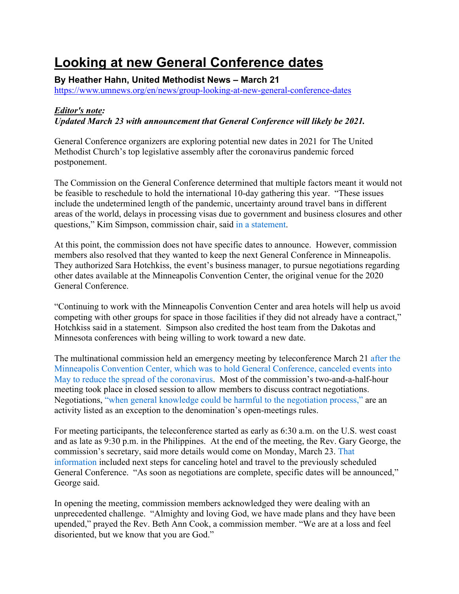## **Looking at new General Conference dates**

**By Heather Hahn, United Methodist News – March 21**

https://www.umnews.org/en/news/group-looking-at-new-general-conference-dates

## *Editor's note:*

*Updated March 23 with announcement that General Conference will likely be 2021.*

General Conference organizers are exploring potential new dates in 2021 for The United Methodist Church's top legislative assembly after the coronavirus pandemic forced postponement.

The Commission on the General Conference determined that multiple factors meant it would not be feasible to reschedule to hold the international 10-day gathering this year. "These issues include the undetermined length of the pandemic, uncertainty around travel bans in different areas of the world, delays in processing visas due to government and business closures and other questions," Kim Simpson, commission chair, said in a statement.

At this point, the commission does not have specific dates to announce. However, commission members also resolved that they wanted to keep the next General Conference in Minneapolis. They authorized Sara Hotchkiss, the event's business manager, to pursue negotiations regarding other dates available at the Minneapolis Convention Center, the original venue for the 2020 General Conference.

"Continuing to work with the Minneapolis Convention Center and area hotels will help us avoid competing with other groups for space in those facilities if they did not already have a contract," Hotchkiss said in a statement. Simpson also credited the host team from the Dakotas and Minnesota conferences with being willing to work toward a new date.

The multinational commission held an emergency meeting by teleconference March 21 after the Minneapolis Convention Center, which was to hold General Conference, canceled events into May to reduce the spread of the coronavirus. Most of the commission's two-and-a-half-hour meeting took place in closed session to allow members to discuss contract negotiations. Negotiations, "when general knowledge could be harmful to the negotiation process," are an activity listed as an exception to the denomination's open-meetings rules.

For meeting participants, the teleconference started as early as 6:30 a.m. on the U.S. west coast and as late as 9:30 p.m. in the Philippines. At the end of the meeting, the Rev. Gary George, the commission's secretary, said more details would come on Monday, March 23. That information included next steps for canceling hotel and travel to the previously scheduled General Conference. "As soon as negotiations are complete, specific dates will be announced," George said.

In opening the meeting, commission members acknowledged they were dealing with an unprecedented challenge. "Almighty and loving God, we have made plans and they have been upended," prayed the Rev. Beth Ann Cook, a commission member. "We are at a loss and feel disoriented, but we know that you are God."